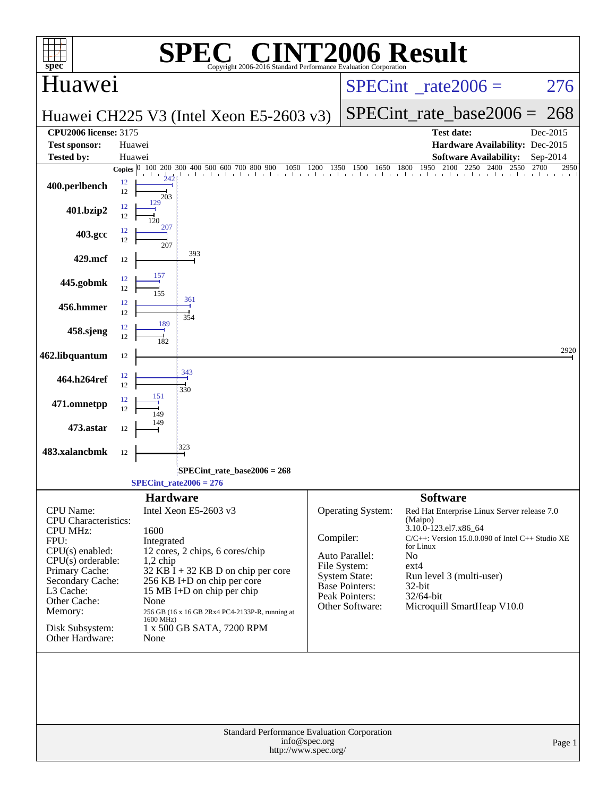| $spec^*$                                                                                                                                                                                                                                   | $\circledR$<br>Copyright 2006-2016 Standard Performance Evaluation Corporation                                                                                                                                                                                                                                 | <b>[2006 Result</b>                                                                                                                                                                                                                                                                                                                                                                                                     |
|--------------------------------------------------------------------------------------------------------------------------------------------------------------------------------------------------------------------------------------------|----------------------------------------------------------------------------------------------------------------------------------------------------------------------------------------------------------------------------------------------------------------------------------------------------------------|-------------------------------------------------------------------------------------------------------------------------------------------------------------------------------------------------------------------------------------------------------------------------------------------------------------------------------------------------------------------------------------------------------------------------|
| Huawei                                                                                                                                                                                                                                     |                                                                                                                                                                                                                                                                                                                | $SPECint^{\circ}$ rate $2006 =$<br>276                                                                                                                                                                                                                                                                                                                                                                                  |
|                                                                                                                                                                                                                                            | Huawei CH225 V3 (Intel Xeon E5-2603 v3)                                                                                                                                                                                                                                                                        | $SPECint_rate\_base2006 =$<br>268                                                                                                                                                                                                                                                                                                                                                                                       |
| <b>CPU2006</b> license: 3175<br><b>Test sponsor:</b>                                                                                                                                                                                       | Huawei                                                                                                                                                                                                                                                                                                         | <b>Test date:</b><br>Dec-2015<br>Hardware Availability: Dec-2015                                                                                                                                                                                                                                                                                                                                                        |
| <b>Tested by:</b>                                                                                                                                                                                                                          | Huawei                                                                                                                                                                                                                                                                                                         | <b>Software Availability:</b><br>Sep-2014                                                                                                                                                                                                                                                                                                                                                                               |
| 400.perlbench                                                                                                                                                                                                                              | Copies $ 0\rangle$<br>12<br>12<br>203                                                                                                                                                                                                                                                                          | 100 200 300 400 500 600 700 800 900 1050 1200 1350 1500 1650 1800 1950 2100 2250 2400 2550 2700 295<br>2950                                                                                                                                                                                                                                                                                                             |
| 401.bzip2                                                                                                                                                                                                                                  | 12<br>12                                                                                                                                                                                                                                                                                                       |                                                                                                                                                                                                                                                                                                                                                                                                                         |
| 403.gcc                                                                                                                                                                                                                                    | 12<br>12<br>207                                                                                                                                                                                                                                                                                                |                                                                                                                                                                                                                                                                                                                                                                                                                         |
| 429.mcf                                                                                                                                                                                                                                    | 393<br>12                                                                                                                                                                                                                                                                                                      |                                                                                                                                                                                                                                                                                                                                                                                                                         |
| 445.gobmk                                                                                                                                                                                                                                  | 157<br>12<br>12                                                                                                                                                                                                                                                                                                |                                                                                                                                                                                                                                                                                                                                                                                                                         |
| 456.hmmer                                                                                                                                                                                                                                  | 361<br>12<br>12<br>354                                                                                                                                                                                                                                                                                         |                                                                                                                                                                                                                                                                                                                                                                                                                         |
| 458.sjeng                                                                                                                                                                                                                                  | 189<br>12<br>12                                                                                                                                                                                                                                                                                                |                                                                                                                                                                                                                                                                                                                                                                                                                         |
| 462.libquantum                                                                                                                                                                                                                             | 12                                                                                                                                                                                                                                                                                                             | 2920                                                                                                                                                                                                                                                                                                                                                                                                                    |
| 464.h264ref                                                                                                                                                                                                                                | 343<br>12<br>12<br>330                                                                                                                                                                                                                                                                                         |                                                                                                                                                                                                                                                                                                                                                                                                                         |
| 471.omnetpp                                                                                                                                                                                                                                | 151<br>12<br>12                                                                                                                                                                                                                                                                                                |                                                                                                                                                                                                                                                                                                                                                                                                                         |
| 473.astar                                                                                                                                                                                                                                  | 12                                                                                                                                                                                                                                                                                                             |                                                                                                                                                                                                                                                                                                                                                                                                                         |
| 483.xalancbmk                                                                                                                                                                                                                              | 323<br>12                                                                                                                                                                                                                                                                                                      |                                                                                                                                                                                                                                                                                                                                                                                                                         |
|                                                                                                                                                                                                                                            | SPECint_rate_base2006 = 268:<br>$SPECint_rate2006 = 276$                                                                                                                                                                                                                                                       |                                                                                                                                                                                                                                                                                                                                                                                                                         |
|                                                                                                                                                                                                                                            | <b>Hardware</b>                                                                                                                                                                                                                                                                                                | <b>Software</b>                                                                                                                                                                                                                                                                                                                                                                                                         |
| <b>CPU</b> Name:<br><b>CPU</b> Characteristics:<br><b>CPU MHz:</b><br>FPU:<br>$CPU(s)$ enabled:<br>$CPU(s)$ orderable:<br>Primary Cache:<br>Secondary Cache:<br>L3 Cache:<br>Other Cache:<br>Memory:<br>Disk Subsystem:<br>Other Hardware: | Intel Xeon E5-2603 v3<br>1600<br>Integrated<br>12 cores, 2 chips, 6 cores/chip<br>$1,2$ chip<br>$32$ KB I + 32 KB D on chip per core<br>256 KB I+D on chip per core<br>15 MB I+D on chip per chip<br>None<br>256 GB (16 x 16 GB 2Rx4 PC4-2133P-R, running at<br>1600 MHz)<br>1 x 500 GB SATA, 7200 RPM<br>None | Operating System:<br>Red Hat Enterprise Linux Server release 7.0<br>(Maipo)<br>3.10.0-123.el7.x86_64<br>Compiler:<br>$C/C++$ : Version 15.0.0.090 of Intel $C++$ Studio XE<br>for Linux<br>Auto Parallel:<br>N <sub>0</sub><br>File System:<br>$ext{4}$<br><b>System State:</b><br>Run level 3 (multi-user)<br>Base Pointers:<br>32-bit<br>Peak Pointers:<br>32/64-bit<br>Microquill SmartHeap V10.0<br>Other Software: |
|                                                                                                                                                                                                                                            | Standard Performance Evaluation Corporation<br>info@spec.org<br>http://www.spec.org/                                                                                                                                                                                                                           | Page 1                                                                                                                                                                                                                                                                                                                                                                                                                  |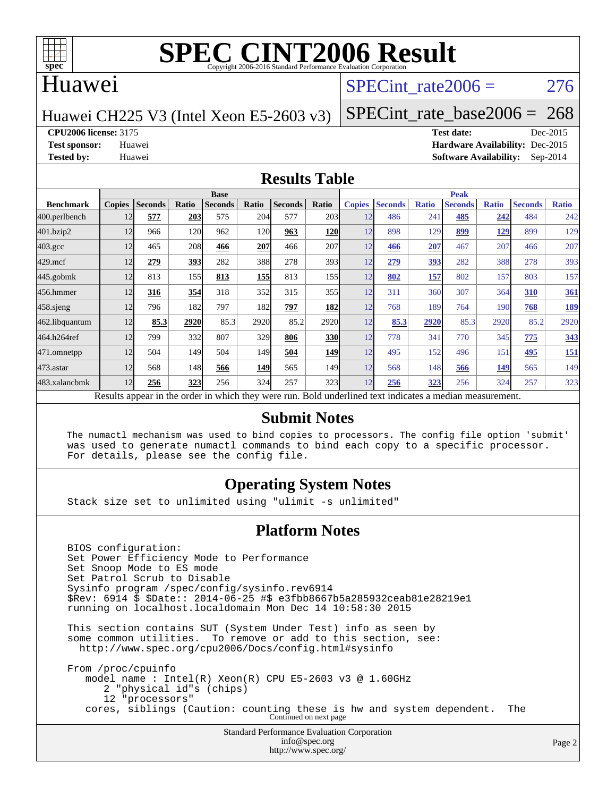

### Huawei

## SPECint rate  $2006 = 276$

### Huawei CH225 V3 (Intel Xeon E5-2603 v3)

[SPECint\\_rate\\_base2006 =](http://www.spec.org/auto/cpu2006/Docs/result-fields.html#SPECintratebase2006) 268

**[CPU2006 license:](http://www.spec.org/auto/cpu2006/Docs/result-fields.html#CPU2006license)** 3175 **[Test date:](http://www.spec.org/auto/cpu2006/Docs/result-fields.html#Testdate)** Dec-2015

**[Test sponsor:](http://www.spec.org/auto/cpu2006/Docs/result-fields.html#Testsponsor)** Huawei **[Hardware Availability:](http://www.spec.org/auto/cpu2006/Docs/result-fields.html#HardwareAvailability)** Dec-2015 **[Tested by:](http://www.spec.org/auto/cpu2006/Docs/result-fields.html#Testedby)** Huawei **[Software Availability:](http://www.spec.org/auto/cpu2006/Docs/result-fields.html#SoftwareAvailability)** Sep-2014

### **[Results Table](http://www.spec.org/auto/cpu2006/Docs/result-fields.html#ResultsTable)**

|                    |                                                                                                          |                |       | <b>Base</b>    |                  |                |            |               |                |              | <b>Peak</b>    |              |                |              |
|--------------------|----------------------------------------------------------------------------------------------------------|----------------|-------|----------------|------------------|----------------|------------|---------------|----------------|--------------|----------------|--------------|----------------|--------------|
| <b>Benchmark</b>   | <b>Copies</b>                                                                                            | <b>Seconds</b> | Ratio | <b>Seconds</b> | Ratio            | <b>Seconds</b> | Ratio      | <b>Copies</b> | <b>Seconds</b> | <b>Ratio</b> | <b>Seconds</b> | <b>Ratio</b> | <b>Seconds</b> | <b>Ratio</b> |
| 400.perlbench      | 12                                                                                                       | 577            | 203   | 575            | 204              | 577            | 203        | 12            | 486            | 241          | 485            | 242          | 484            | 242          |
| 401.bzip2          | 12                                                                                                       | 966            | 120   | 962            | 120              | 963            | 120        | 12            | 898            | 129          | 899            | <u> 129</u>  | 899            | 129          |
| $403.\mathrm{gcc}$ | 12                                                                                                       | 465            | 208   | 466            | 207              | 466            | 207        | 12            | 466            | 207          | 467            | 207          | 466            | 207          |
| $429$ .mcf         | 12                                                                                                       | 279            | 393   | 282            | 388l             | 278            | 393        | 12            | 279            | 393          | 282            | 388          | 278            | 393          |
| $445$ .gobmk       | 12                                                                                                       | 813            | 155   | 813            | 155              | 813            | 155        | 12            | 802            | 157          | 802            | 157          | 803            | 157          |
| 456.hmmer          | 12                                                                                                       | 316            | 354   | 318            | 352              | 315            | 355        | 12            | 311            | 360          | 307            | 364          | 310            | <u>361</u>   |
| $458$ .sjeng       | 12                                                                                                       | 796            | 182   | 797            | 182              | 797            | 182        | 12            | 768            | 189          | 764            | 190          | 768            | <u>189</u>   |
| 462.libquantum     | 12                                                                                                       | 85.3           | 2920  | 85.3           | 2920             | 85.2           | 2920       | 12            | 85.3           | 2920         | 85.3           | 2920         | 85.2           | 2920         |
| 464.h264ref        | 12                                                                                                       | 799            | 332   | 807            | 329              | 806            | <b>330</b> | 12            | 778            | 341          | 770            | 345          | 775            | 343          |
| 471.omnetpp        | 12                                                                                                       | 504            | 149   | 504            | 149 <sub>l</sub> | 504            | <b>149</b> | 12            | 495            | 152          | 496            | 151          | 495            | <u>151</u>   |
| 473.astar          | 12                                                                                                       | 568            | 148   | 566            | 149              | 565            | 149I       | 12            | 568            | 148          | 566            | 149          | 565            | 149          |
| 483.xalancbmk      | 12                                                                                                       | 256            | 323   | 256            | 324              | 257            | 323        | 12            | 256            | 323          | 256            | 324          | 257            | 323          |
|                    | Results appear in the order in which they were run. Bold underlined text indicates a median measurement. |                |       |                |                  |                |            |               |                |              |                |              |                |              |

### **[Submit Notes](http://www.spec.org/auto/cpu2006/Docs/result-fields.html#SubmitNotes)**

 The numactl mechanism was used to bind copies to processors. The config file option 'submit' was used to generate numactl commands to bind each copy to a specific processor. For details, please see the config file.

### **[Operating System Notes](http://www.spec.org/auto/cpu2006/Docs/result-fields.html#OperatingSystemNotes)**

Stack size set to unlimited using "ulimit -s unlimited"

### **[Platform Notes](http://www.spec.org/auto/cpu2006/Docs/result-fields.html#PlatformNotes)**

Standard Performance Evaluation Corporation [info@spec.org](mailto:info@spec.org) BIOS configuration: Set Power Efficiency Mode to Performance Set Snoop Mode to ES mode Set Patrol Scrub to Disable Sysinfo program /spec/config/sysinfo.rev6914 \$Rev: 6914 \$ \$Date:: 2014-06-25 #\$ e3fbb8667b5a285932ceab81e28219e1 running on localhost.localdomain Mon Dec 14 10:58:30 2015 This section contains SUT (System Under Test) info as seen by some common utilities. To remove or add to this section, see: <http://www.spec.org/cpu2006/Docs/config.html#sysinfo> From /proc/cpuinfo model name : Intel(R) Xeon(R) CPU E5-2603 v3 @ 1.60GHz 2 "physical id"s (chips) 12 "processors" cores, siblings (Caution: counting these is hw and system dependent. The Continued on next page

<http://www.spec.org/>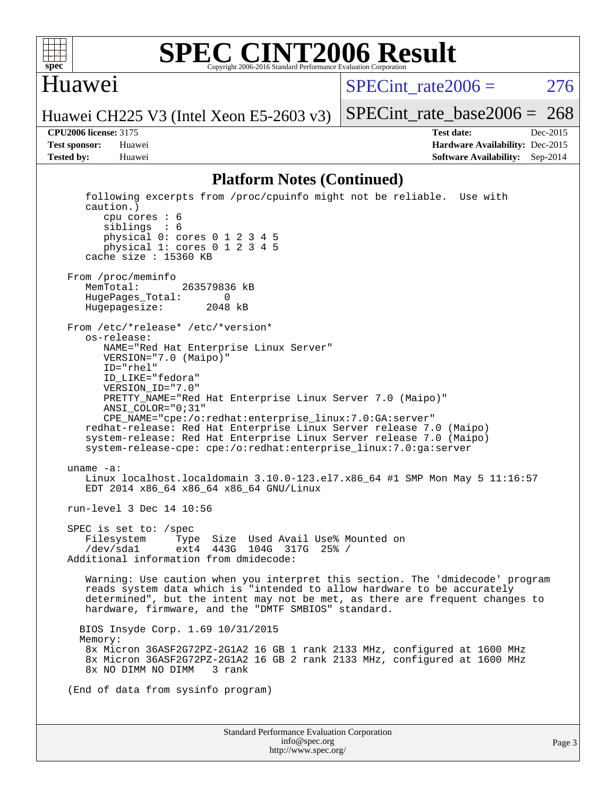

### **[SPEC CINT2006 Result](http://www.spec.org/auto/cpu2006/Docs/result-fields.html#SPECCINT2006Result)** Copyright 2006-2016 Standard Performance Evaluation Co

### Huawei

SPECint rate $2006 = 276$ 

[SPECint\\_rate\\_base2006 =](http://www.spec.org/auto/cpu2006/Docs/result-fields.html#SPECintratebase2006) 268

Huawei CH225 V3 (Intel Xeon E5-2603 v3)

**[CPU2006 license:](http://www.spec.org/auto/cpu2006/Docs/result-fields.html#CPU2006license)** 3175 **[Test date:](http://www.spec.org/auto/cpu2006/Docs/result-fields.html#Testdate)** Dec-2015 **[Test sponsor:](http://www.spec.org/auto/cpu2006/Docs/result-fields.html#Testsponsor)** Huawei **[Hardware Availability:](http://www.spec.org/auto/cpu2006/Docs/result-fields.html#HardwareAvailability)** Dec-2015 **[Tested by:](http://www.spec.org/auto/cpu2006/Docs/result-fields.html#Testedby)** Huawei **[Software Availability:](http://www.spec.org/auto/cpu2006/Docs/result-fields.html#SoftwareAvailability)** Sep-2014

### **[Platform Notes \(Continued\)](http://www.spec.org/auto/cpu2006/Docs/result-fields.html#PlatformNotes)**

Standard Performance Evaluation Corporation [info@spec.org](mailto:info@spec.org) following excerpts from /proc/cpuinfo might not be reliable. Use with caution.) cpu cores : 6 siblings : 6 physical 0: cores 0 1 2 3 4 5 physical 1: cores 0 1 2 3 4 5 cache size : 15360 KB From /proc/meminfo MemTotal: 263579836 kB<br>HugePages Total: 0 HugePages\_Total: 0 Hugepagesize: 2048 kB From /etc/\*release\* /etc/\*version\* os-release: NAME="Red Hat Enterprise Linux Server" VERSION="7.0 (Maipo)" ID="rhel" ID\_LIKE="fedora" VERSION\_ID="7.0" PRETTY\_NAME="Red Hat Enterprise Linux Server 7.0 (Maipo)" ANSI\_COLOR="0;31" CPE\_NAME="cpe:/o:redhat:enterprise\_linux:7.0:GA:server" redhat-release: Red Hat Enterprise Linux Server release 7.0 (Maipo) system-release: Red Hat Enterprise Linux Server release 7.0 (Maipo) system-release-cpe: cpe:/o:redhat:enterprise\_linux:7.0:ga:server uname -a: Linux localhost.localdomain 3.10.0-123.el7.x86\_64 #1 SMP Mon May 5 11:16:57 EDT 2014 x86\_64 x86\_64 x86\_64 GNU/Linux run-level 3 Dec 14 10:56 SPEC is set to: /spec Filesystem Type Size Used Avail Use% Mounted on /dev/sda1 ext4 443G 104G 317G 25% / Additional information from dmidecode: Warning: Use caution when you interpret this section. The 'dmidecode' program reads system data which is "intended to allow hardware to be accurately determined", but the intent may not be met, as there are frequent changes to hardware, firmware, and the "DMTF SMBIOS" standard. BIOS Insyde Corp. 1.69 10/31/2015 Memory: 8x Micron 36ASF2G72PZ-2G1A2 16 GB 1 rank 2133 MHz, configured at 1600 MHz 8x Micron 36ASF2G72PZ-2G1A2 16 GB 2 rank 2133 MHz, configured at 1600 MHz 8x NO DIMM NO DIMM 3 rank (End of data from sysinfo program)

<http://www.spec.org/>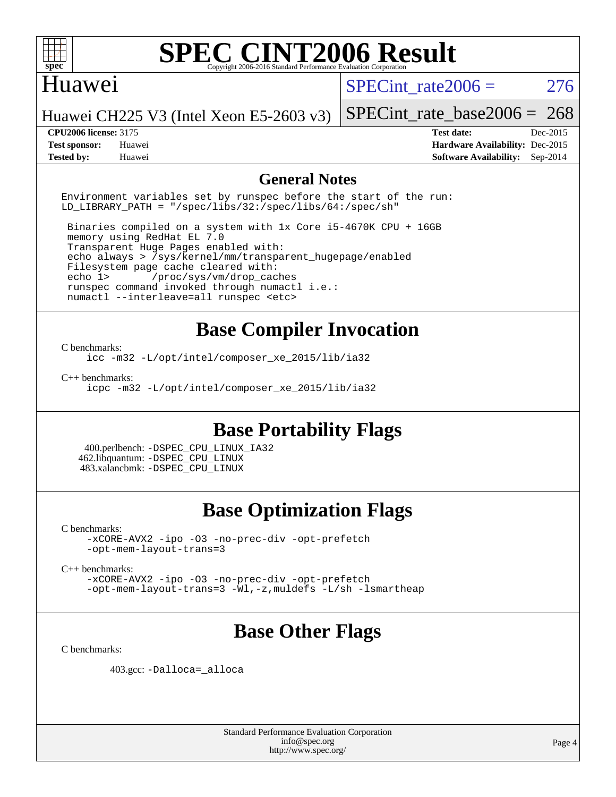

### Huawei

SPECint rate  $2006 = 276$ 

Huawei CH225 V3 (Intel Xeon E5-2603 v3)

### **[CPU2006 license:](http://www.spec.org/auto/cpu2006/Docs/result-fields.html#CPU2006license)** 3175 **[Test date:](http://www.spec.org/auto/cpu2006/Docs/result-fields.html#Testdate)** Dec-2015

[SPECint\\_rate\\_base2006 =](http://www.spec.org/auto/cpu2006/Docs/result-fields.html#SPECintratebase2006) 268

**[Test sponsor:](http://www.spec.org/auto/cpu2006/Docs/result-fields.html#Testsponsor)** Huawei **[Hardware Availability:](http://www.spec.org/auto/cpu2006/Docs/result-fields.html#HardwareAvailability)** Dec-2015 **[Tested by:](http://www.spec.org/auto/cpu2006/Docs/result-fields.html#Testedby)** Huawei **[Software Availability:](http://www.spec.org/auto/cpu2006/Docs/result-fields.html#SoftwareAvailability)** Sep-2014

### **[General Notes](http://www.spec.org/auto/cpu2006/Docs/result-fields.html#GeneralNotes)**

Environment variables set by runspec before the start of the run: LD LIBRARY PATH = "/spec/libs/32:/spec/libs/64:/spec/sh"

 Binaries compiled on a system with 1x Core i5-4670K CPU + 16GB memory using RedHat EL 7.0 Transparent Huge Pages enabled with: echo always > /sys/kernel/mm/transparent\_hugepage/enabled Filesystem page cache cleared with: echo 1> /proc/sys/vm/drop\_caches runspec command invoked through numactl i.e.: numactl --interleave=all runspec <etc>

# **[Base Compiler Invocation](http://www.spec.org/auto/cpu2006/Docs/result-fields.html#BaseCompilerInvocation)**

#### [C benchmarks](http://www.spec.org/auto/cpu2006/Docs/result-fields.html#Cbenchmarks):

[icc -m32 -L/opt/intel/composer\\_xe\\_2015/lib/ia32](http://www.spec.org/cpu2006/results/res2016q1/cpu2006-20160107-38593.flags.html#user_CCbase_intel_icc_011b86df29f8c679b747245588698a4d)

[C++ benchmarks:](http://www.spec.org/auto/cpu2006/Docs/result-fields.html#CXXbenchmarks)

[icpc -m32 -L/opt/intel/composer\\_xe\\_2015/lib/ia32](http://www.spec.org/cpu2006/results/res2016q1/cpu2006-20160107-38593.flags.html#user_CXXbase_intel_icpc_c2c99686a1a582c3e0de0b4806b02cea)

# **[Base Portability Flags](http://www.spec.org/auto/cpu2006/Docs/result-fields.html#BasePortabilityFlags)**

 400.perlbench: [-DSPEC\\_CPU\\_LINUX\\_IA32](http://www.spec.org/cpu2006/results/res2016q1/cpu2006-20160107-38593.flags.html#b400.perlbench_baseCPORTABILITY_DSPEC_CPU_LINUX_IA32) 462.libquantum: [-DSPEC\\_CPU\\_LINUX](http://www.spec.org/cpu2006/results/res2016q1/cpu2006-20160107-38593.flags.html#b462.libquantum_baseCPORTABILITY_DSPEC_CPU_LINUX) 483.xalancbmk: [-DSPEC\\_CPU\\_LINUX](http://www.spec.org/cpu2006/results/res2016q1/cpu2006-20160107-38593.flags.html#b483.xalancbmk_baseCXXPORTABILITY_DSPEC_CPU_LINUX)

# **[Base Optimization Flags](http://www.spec.org/auto/cpu2006/Docs/result-fields.html#BaseOptimizationFlags)**

[C benchmarks](http://www.spec.org/auto/cpu2006/Docs/result-fields.html#Cbenchmarks):

[-xCORE-AVX2](http://www.spec.org/cpu2006/results/res2016q1/cpu2006-20160107-38593.flags.html#user_CCbase_f-xAVX2_5f5fc0cbe2c9f62c816d3e45806c70d7) [-ipo](http://www.spec.org/cpu2006/results/res2016q1/cpu2006-20160107-38593.flags.html#user_CCbase_f-ipo) [-O3](http://www.spec.org/cpu2006/results/res2016q1/cpu2006-20160107-38593.flags.html#user_CCbase_f-O3) [-no-prec-div](http://www.spec.org/cpu2006/results/res2016q1/cpu2006-20160107-38593.flags.html#user_CCbase_f-no-prec-div) [-opt-prefetch](http://www.spec.org/cpu2006/results/res2016q1/cpu2006-20160107-38593.flags.html#user_CCbase_f-opt-prefetch) [-opt-mem-layout-trans=3](http://www.spec.org/cpu2006/results/res2016q1/cpu2006-20160107-38593.flags.html#user_CCbase_f-opt-mem-layout-trans_a7b82ad4bd7abf52556d4961a2ae94d5)

[C++ benchmarks:](http://www.spec.org/auto/cpu2006/Docs/result-fields.html#CXXbenchmarks)

[-xCORE-AVX2](http://www.spec.org/cpu2006/results/res2016q1/cpu2006-20160107-38593.flags.html#user_CXXbase_f-xAVX2_5f5fc0cbe2c9f62c816d3e45806c70d7) [-ipo](http://www.spec.org/cpu2006/results/res2016q1/cpu2006-20160107-38593.flags.html#user_CXXbase_f-ipo) [-O3](http://www.spec.org/cpu2006/results/res2016q1/cpu2006-20160107-38593.flags.html#user_CXXbase_f-O3) [-no-prec-div](http://www.spec.org/cpu2006/results/res2016q1/cpu2006-20160107-38593.flags.html#user_CXXbase_f-no-prec-div) [-opt-prefetch](http://www.spec.org/cpu2006/results/res2016q1/cpu2006-20160107-38593.flags.html#user_CXXbase_f-opt-prefetch) [-opt-mem-layout-trans=3](http://www.spec.org/cpu2006/results/res2016q1/cpu2006-20160107-38593.flags.html#user_CXXbase_f-opt-mem-layout-trans_a7b82ad4bd7abf52556d4961a2ae94d5) [-Wl,-z,muldefs](http://www.spec.org/cpu2006/results/res2016q1/cpu2006-20160107-38593.flags.html#user_CXXbase_link_force_multiple1_74079c344b956b9658436fd1b6dd3a8a) [-L/sh -lsmartheap](http://www.spec.org/cpu2006/results/res2016q1/cpu2006-20160107-38593.flags.html#user_CXXbase_SmartHeap_32f6c82aa1ed9c52345d30cf6e4a0499)

# **[Base Other Flags](http://www.spec.org/auto/cpu2006/Docs/result-fields.html#BaseOtherFlags)**

[C benchmarks](http://www.spec.org/auto/cpu2006/Docs/result-fields.html#Cbenchmarks):

403.gcc: [-Dalloca=\\_alloca](http://www.spec.org/cpu2006/results/res2016q1/cpu2006-20160107-38593.flags.html#b403.gcc_baseEXTRA_CFLAGS_Dalloca_be3056838c12de2578596ca5467af7f3)

Standard Performance Evaluation Corporation [info@spec.org](mailto:info@spec.org) <http://www.spec.org/>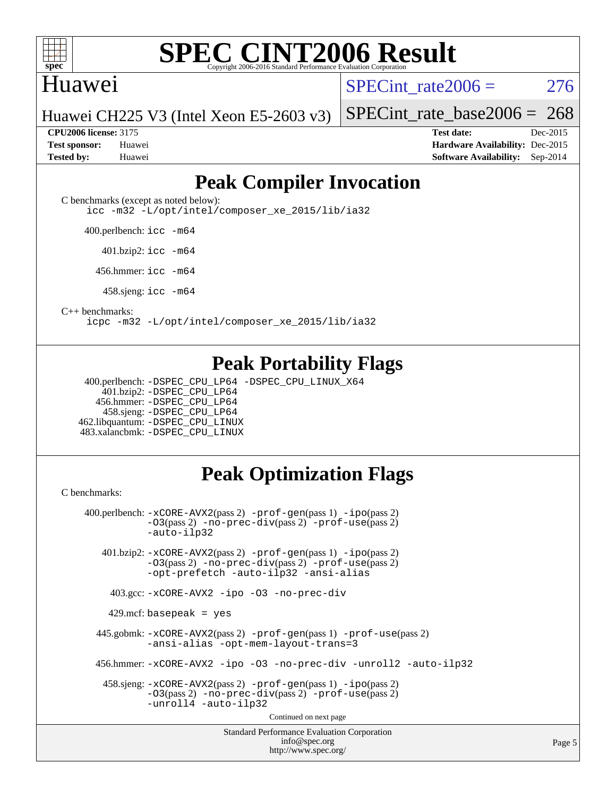

### Huawei

SPECint rate  $2006 = 276$ 

Huawei CH225 V3 (Intel Xeon E5-2603 v3)

**[Test sponsor:](http://www.spec.org/auto/cpu2006/Docs/result-fields.html#Testsponsor)** Huawei **[Hardware Availability:](http://www.spec.org/auto/cpu2006/Docs/result-fields.html#HardwareAvailability)** Dec-2015 **[Tested by:](http://www.spec.org/auto/cpu2006/Docs/result-fields.html#Testedby)** Huawei **[Software Availability:](http://www.spec.org/auto/cpu2006/Docs/result-fields.html#SoftwareAvailability)** Sep-2014

[SPECint\\_rate\\_base2006 =](http://www.spec.org/auto/cpu2006/Docs/result-fields.html#SPECintratebase2006) 268 **[CPU2006 license:](http://www.spec.org/auto/cpu2006/Docs/result-fields.html#CPU2006license)** 3175 **[Test date:](http://www.spec.org/auto/cpu2006/Docs/result-fields.html#Testdate)** Dec-2015

# **[Peak Compiler Invocation](http://www.spec.org/auto/cpu2006/Docs/result-fields.html#PeakCompilerInvocation)**

[C benchmarks \(except as noted below\)](http://www.spec.org/auto/cpu2006/Docs/result-fields.html#Cbenchmarksexceptasnotedbelow):

[icc -m32 -L/opt/intel/composer\\_xe\\_2015/lib/ia32](http://www.spec.org/cpu2006/results/res2016q1/cpu2006-20160107-38593.flags.html#user_CCpeak_intel_icc_011b86df29f8c679b747245588698a4d)

400.perlbench: [icc -m64](http://www.spec.org/cpu2006/results/res2016q1/cpu2006-20160107-38593.flags.html#user_peakCCLD400_perlbench_intel_icc_64bit_bda6cc9af1fdbb0edc3795bac97ada53)

401.bzip2: [icc -m64](http://www.spec.org/cpu2006/results/res2016q1/cpu2006-20160107-38593.flags.html#user_peakCCLD401_bzip2_intel_icc_64bit_bda6cc9af1fdbb0edc3795bac97ada53)

456.hmmer: [icc -m64](http://www.spec.org/cpu2006/results/res2016q1/cpu2006-20160107-38593.flags.html#user_peakCCLD456_hmmer_intel_icc_64bit_bda6cc9af1fdbb0edc3795bac97ada53)

458.sjeng: [icc -m64](http://www.spec.org/cpu2006/results/res2016q1/cpu2006-20160107-38593.flags.html#user_peakCCLD458_sjeng_intel_icc_64bit_bda6cc9af1fdbb0edc3795bac97ada53)

[C++ benchmarks:](http://www.spec.org/auto/cpu2006/Docs/result-fields.html#CXXbenchmarks)

[icpc -m32 -L/opt/intel/composer\\_xe\\_2015/lib/ia32](http://www.spec.org/cpu2006/results/res2016q1/cpu2006-20160107-38593.flags.html#user_CXXpeak_intel_icpc_c2c99686a1a582c3e0de0b4806b02cea)

## **[Peak Portability Flags](http://www.spec.org/auto/cpu2006/Docs/result-fields.html#PeakPortabilityFlags)**

 400.perlbench: [-DSPEC\\_CPU\\_LP64](http://www.spec.org/cpu2006/results/res2016q1/cpu2006-20160107-38593.flags.html#b400.perlbench_peakCPORTABILITY_DSPEC_CPU_LP64) [-DSPEC\\_CPU\\_LINUX\\_X64](http://www.spec.org/cpu2006/results/res2016q1/cpu2006-20160107-38593.flags.html#b400.perlbench_peakCPORTABILITY_DSPEC_CPU_LINUX_X64) 401.bzip2: [-DSPEC\\_CPU\\_LP64](http://www.spec.org/cpu2006/results/res2016q1/cpu2006-20160107-38593.flags.html#suite_peakCPORTABILITY401_bzip2_DSPEC_CPU_LP64) 456.hmmer: [-DSPEC\\_CPU\\_LP64](http://www.spec.org/cpu2006/results/res2016q1/cpu2006-20160107-38593.flags.html#suite_peakCPORTABILITY456_hmmer_DSPEC_CPU_LP64) 458.sjeng: [-DSPEC\\_CPU\\_LP64](http://www.spec.org/cpu2006/results/res2016q1/cpu2006-20160107-38593.flags.html#suite_peakCPORTABILITY458_sjeng_DSPEC_CPU_LP64) 462.libquantum: [-DSPEC\\_CPU\\_LINUX](http://www.spec.org/cpu2006/results/res2016q1/cpu2006-20160107-38593.flags.html#b462.libquantum_peakCPORTABILITY_DSPEC_CPU_LINUX) 483.xalancbmk: [-DSPEC\\_CPU\\_LINUX](http://www.spec.org/cpu2006/results/res2016q1/cpu2006-20160107-38593.flags.html#b483.xalancbmk_peakCXXPORTABILITY_DSPEC_CPU_LINUX)

# **[Peak Optimization Flags](http://www.spec.org/auto/cpu2006/Docs/result-fields.html#PeakOptimizationFlags)**

[C benchmarks](http://www.spec.org/auto/cpu2006/Docs/result-fields.html#Cbenchmarks):

Standard Performance Evaluation Corporation [info@spec.org](mailto:info@spec.org) 400.perlbench: [-xCORE-AVX2](http://www.spec.org/cpu2006/results/res2016q1/cpu2006-20160107-38593.flags.html#user_peakPASS2_CFLAGSPASS2_LDCFLAGS400_perlbench_f-xAVX2_5f5fc0cbe2c9f62c816d3e45806c70d7)(pass 2) [-prof-gen](http://www.spec.org/cpu2006/results/res2016q1/cpu2006-20160107-38593.flags.html#user_peakPASS1_CFLAGSPASS1_LDCFLAGS400_perlbench_prof_gen_e43856698f6ca7b7e442dfd80e94a8fc)(pass 1) [-ipo](http://www.spec.org/cpu2006/results/res2016q1/cpu2006-20160107-38593.flags.html#user_peakPASS2_CFLAGSPASS2_LDCFLAGS400_perlbench_f-ipo)(pass 2) [-O3](http://www.spec.org/cpu2006/results/res2016q1/cpu2006-20160107-38593.flags.html#user_peakPASS2_CFLAGSPASS2_LDCFLAGS400_perlbench_f-O3)(pass 2) [-no-prec-div](http://www.spec.org/cpu2006/results/res2016q1/cpu2006-20160107-38593.flags.html#user_peakPASS2_CFLAGSPASS2_LDCFLAGS400_perlbench_f-no-prec-div)(pass 2) [-prof-use](http://www.spec.org/cpu2006/results/res2016q1/cpu2006-20160107-38593.flags.html#user_peakPASS2_CFLAGSPASS2_LDCFLAGS400_perlbench_prof_use_bccf7792157ff70d64e32fe3e1250b55)(pass 2) [-auto-ilp32](http://www.spec.org/cpu2006/results/res2016q1/cpu2006-20160107-38593.flags.html#user_peakCOPTIMIZE400_perlbench_f-auto-ilp32) 401.bzip2: [-xCORE-AVX2](http://www.spec.org/cpu2006/results/res2016q1/cpu2006-20160107-38593.flags.html#user_peakPASS2_CFLAGSPASS2_LDCFLAGS401_bzip2_f-xAVX2_5f5fc0cbe2c9f62c816d3e45806c70d7)(pass 2) [-prof-gen](http://www.spec.org/cpu2006/results/res2016q1/cpu2006-20160107-38593.flags.html#user_peakPASS1_CFLAGSPASS1_LDCFLAGS401_bzip2_prof_gen_e43856698f6ca7b7e442dfd80e94a8fc)(pass 1) [-ipo](http://www.spec.org/cpu2006/results/res2016q1/cpu2006-20160107-38593.flags.html#user_peakPASS2_CFLAGSPASS2_LDCFLAGS401_bzip2_f-ipo)(pass 2) [-O3](http://www.spec.org/cpu2006/results/res2016q1/cpu2006-20160107-38593.flags.html#user_peakPASS2_CFLAGSPASS2_LDCFLAGS401_bzip2_f-O3)(pass 2) [-no-prec-div](http://www.spec.org/cpu2006/results/res2016q1/cpu2006-20160107-38593.flags.html#user_peakPASS2_CFLAGSPASS2_LDCFLAGS401_bzip2_f-no-prec-div)(pass 2) [-prof-use](http://www.spec.org/cpu2006/results/res2016q1/cpu2006-20160107-38593.flags.html#user_peakPASS2_CFLAGSPASS2_LDCFLAGS401_bzip2_prof_use_bccf7792157ff70d64e32fe3e1250b55)(pass 2) [-opt-prefetch](http://www.spec.org/cpu2006/results/res2016q1/cpu2006-20160107-38593.flags.html#user_peakCOPTIMIZE401_bzip2_f-opt-prefetch) [-auto-ilp32](http://www.spec.org/cpu2006/results/res2016q1/cpu2006-20160107-38593.flags.html#user_peakCOPTIMIZE401_bzip2_f-auto-ilp32) [-ansi-alias](http://www.spec.org/cpu2006/results/res2016q1/cpu2006-20160107-38593.flags.html#user_peakCOPTIMIZE401_bzip2_f-ansi-alias) 403.gcc: [-xCORE-AVX2](http://www.spec.org/cpu2006/results/res2016q1/cpu2006-20160107-38593.flags.html#user_peakCOPTIMIZE403_gcc_f-xAVX2_5f5fc0cbe2c9f62c816d3e45806c70d7) [-ipo](http://www.spec.org/cpu2006/results/res2016q1/cpu2006-20160107-38593.flags.html#user_peakCOPTIMIZE403_gcc_f-ipo) [-O3](http://www.spec.org/cpu2006/results/res2016q1/cpu2006-20160107-38593.flags.html#user_peakCOPTIMIZE403_gcc_f-O3) [-no-prec-div](http://www.spec.org/cpu2006/results/res2016q1/cpu2006-20160107-38593.flags.html#user_peakCOPTIMIZE403_gcc_f-no-prec-div) 429.mcf: basepeak = yes 445.gobmk: [-xCORE-AVX2](http://www.spec.org/cpu2006/results/res2016q1/cpu2006-20160107-38593.flags.html#user_peakPASS2_CFLAGSPASS2_LDCFLAGS445_gobmk_f-xAVX2_5f5fc0cbe2c9f62c816d3e45806c70d7)(pass 2) [-prof-gen](http://www.spec.org/cpu2006/results/res2016q1/cpu2006-20160107-38593.flags.html#user_peakPASS1_CFLAGSPASS1_LDCFLAGS445_gobmk_prof_gen_e43856698f6ca7b7e442dfd80e94a8fc)(pass 1) [-prof-use](http://www.spec.org/cpu2006/results/res2016q1/cpu2006-20160107-38593.flags.html#user_peakPASS2_CFLAGSPASS2_LDCFLAGS445_gobmk_prof_use_bccf7792157ff70d64e32fe3e1250b55)(pass 2) [-ansi-alias](http://www.spec.org/cpu2006/results/res2016q1/cpu2006-20160107-38593.flags.html#user_peakCOPTIMIZE445_gobmk_f-ansi-alias) [-opt-mem-layout-trans=3](http://www.spec.org/cpu2006/results/res2016q1/cpu2006-20160107-38593.flags.html#user_peakCOPTIMIZE445_gobmk_f-opt-mem-layout-trans_a7b82ad4bd7abf52556d4961a2ae94d5) 456.hmmer: [-xCORE-AVX2](http://www.spec.org/cpu2006/results/res2016q1/cpu2006-20160107-38593.flags.html#user_peakCOPTIMIZE456_hmmer_f-xAVX2_5f5fc0cbe2c9f62c816d3e45806c70d7) [-ipo](http://www.spec.org/cpu2006/results/res2016q1/cpu2006-20160107-38593.flags.html#user_peakCOPTIMIZE456_hmmer_f-ipo) [-O3](http://www.spec.org/cpu2006/results/res2016q1/cpu2006-20160107-38593.flags.html#user_peakCOPTIMIZE456_hmmer_f-O3) [-no-prec-div](http://www.spec.org/cpu2006/results/res2016q1/cpu2006-20160107-38593.flags.html#user_peakCOPTIMIZE456_hmmer_f-no-prec-div) [-unroll2](http://www.spec.org/cpu2006/results/res2016q1/cpu2006-20160107-38593.flags.html#user_peakCOPTIMIZE456_hmmer_f-unroll_784dae83bebfb236979b41d2422d7ec2) [-auto-ilp32](http://www.spec.org/cpu2006/results/res2016q1/cpu2006-20160107-38593.flags.html#user_peakCOPTIMIZE456_hmmer_f-auto-ilp32) 458.sjeng: [-xCORE-AVX2](http://www.spec.org/cpu2006/results/res2016q1/cpu2006-20160107-38593.flags.html#user_peakPASS2_CFLAGSPASS2_LDCFLAGS458_sjeng_f-xAVX2_5f5fc0cbe2c9f62c816d3e45806c70d7)(pass 2) [-prof-gen](http://www.spec.org/cpu2006/results/res2016q1/cpu2006-20160107-38593.flags.html#user_peakPASS1_CFLAGSPASS1_LDCFLAGS458_sjeng_prof_gen_e43856698f6ca7b7e442dfd80e94a8fc)(pass 1) [-ipo](http://www.spec.org/cpu2006/results/res2016q1/cpu2006-20160107-38593.flags.html#user_peakPASS2_CFLAGSPASS2_LDCFLAGS458_sjeng_f-ipo)(pass 2) [-O3](http://www.spec.org/cpu2006/results/res2016q1/cpu2006-20160107-38593.flags.html#user_peakPASS2_CFLAGSPASS2_LDCFLAGS458_sjeng_f-O3)(pass 2) [-no-prec-div](http://www.spec.org/cpu2006/results/res2016q1/cpu2006-20160107-38593.flags.html#user_peakPASS2_CFLAGSPASS2_LDCFLAGS458_sjeng_f-no-prec-div)(pass 2) [-prof-use](http://www.spec.org/cpu2006/results/res2016q1/cpu2006-20160107-38593.flags.html#user_peakPASS2_CFLAGSPASS2_LDCFLAGS458_sjeng_prof_use_bccf7792157ff70d64e32fe3e1250b55)(pass 2) [-unroll4](http://www.spec.org/cpu2006/results/res2016q1/cpu2006-20160107-38593.flags.html#user_peakCOPTIMIZE458_sjeng_f-unroll_4e5e4ed65b7fd20bdcd365bec371b81f) [-auto-ilp32](http://www.spec.org/cpu2006/results/res2016q1/cpu2006-20160107-38593.flags.html#user_peakCOPTIMIZE458_sjeng_f-auto-ilp32) Continued on next page

<http://www.spec.org/>

Page 5